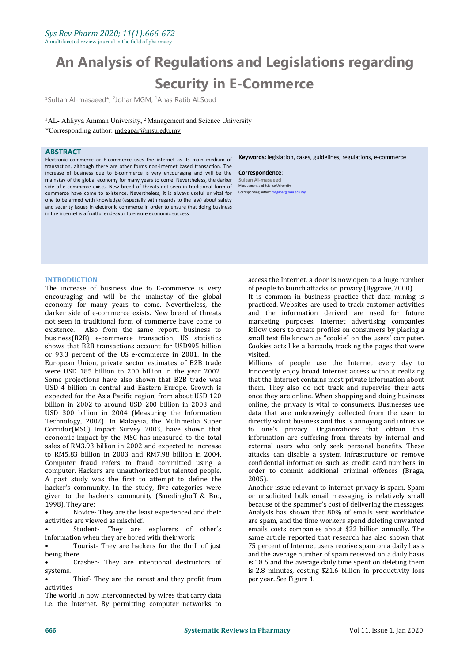# **An Analysis of Regulations and Legislations regarding Security in E-Commerce**

<sup>1</sup>Sultan Al-masaeed\*, <sup>2</sup>Johar MGM, <sup>1</sup>Anas Ratib ALSoud

 ${}^{1}\text{AL}$ - Ahliyya Amman University,  ${}^{2}$ Management and Science University \*Corresponding author: [mdgapar@msu.edu.my](mailto:mdgapar@msu.edu.my)

#### **ABSTRACT**

Electronic commerce or E-commerce uses the internet as its main medium of transaction, although there are other forms non-internet based transaction. The increase of business due to E-commerce is very encouraging and will be the mainstay of the global economy for many years to come. Nevertheless, the darker side of e-commerce exists. New breed of threats not seen in traditional form of commerce have come to existence. Nevertheless, it is always useful or vital for one to be armed with knowledge (especially with regards to the law) about safety and security issues in electronic commerce in order to ensure that doing business in the internet is a fruitful endeavor to ensure economic success

**Keywords:** legislation, cases, guidelines, regulations, e-commerce

#### **Correspondence**:

**Sultan Al-masaeed** Management and Science University Corresponding author: mdga

#### **INTRODUCTION**

The increase of business due to E-commerce is very of people to launch attacks on privacy (Bygrave, 2000).<br>
encouraging and will be the mainstay of the global list common in business practice that data mining is encouraging and will be the mainstay of the global economy for many years to come. Nevertheless, the darker side of e-commerce exists. New breed of threats not seen in traditional form of commerce have come to existence. Also from the same report, business to business(B2B) e-commerce transaction, US statistics shows that B2B transactions account for USD995 billion or 93.3 percent of the US e-commerce in 2001. In the European Union, private sector estimates of B2B trade Some projections have also shown that B2B trade was USD 4 billion in central and Eastern Europe. Growth is expected for the Asia Pacific region, from about USD 120 billion in 2002 to around USD 200 billion in 2003 and online, the privacy is vital to consumers. Businesses use<br>USD 300 billion in 2004 (Measuring the Information data that are unknowingly collected from the user to USD 300 billion in 2004 (Measuring the Information Technology, 2002). In Malaysia, the Multimedia Super Corridor(MSC) Impact Survey 2003, have shown that economic impact by the MSC has measured to the total sales of RM3.93 billion in 2002 and expected to increase to RM5.83 billion in 2003 and RM7.98 billion in 2004. Computer fraud refers to fraud committed using a computer. Hackers are unauthorized but talented people. A past study was the first to attempt to define the hacker's community. In the study, five categories were given to the hacker's community (Smedinghoff & Bro, 1998). They are:

• Novice- They are the least experienced and their activities are viewed as mischief.

Student- They are explorers of other's information when they are bored with their work

Tourist- They are hackers for the thrill of just being there.

• Crasher- They are intentional destructors of systems.

Thief- They are the rarest and they profit from activities

The world in now interconnected by wires that carry data i.e. the Internet. By permitting computer networks to access the Internet, a door is now open to ahuge number of people to launch attacks on privacy (Bygrave, 2000).

practiced. Websites are used to track customer activities and the information derived are used for future marketing purposes. Internet advertising companies follow users to create profiles on consumers by placing a small text file known as "cookie" on the users' computer. Cookies acts like a barcode, tracking the pages that were visited.

Millions of people use the Internet every day to innocently enjoy broad Internet access without realizing that the Internet contains most private information about them. They also do not track and supervise their acts once they are online. When shopping and doing business online, the privacy is vital to consumers. Businesses use directly solicit business and this is annoying and intrusive one's privacy. Organizations that obtain this information are suffering from threats by internal and external users who only seek personal benefits. These attacks can disable a system infrastructure or remove confidential information such as credit card numbers in order to commit additional criminal offences (Braga, 2005).

Another issue relevant to internet privacy is spam. Spam or unsolicited bulk email messaging is relatively small because of the spammer's cost of delivering the messages. Analysis has shown that 80% of emails sent worldwide are spam, and the time workers spend deleting unwanted emails costs companies about \$22 billion annually. The same article reported that research has also shown that 75 percent of Internet users receive spam on a daily basis and the average number of spam received on a daily basis is 18.5 and the average daily time spent on deleting them is 2.8 minutes, costing \$21.6 billion in productivity loss per year. See Figure 1.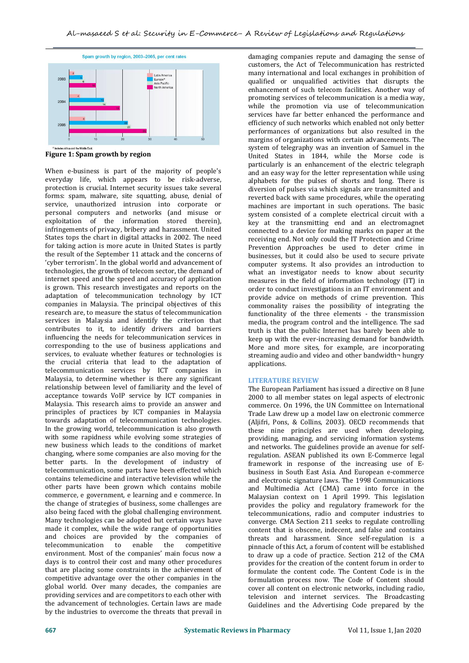

**Figure 1: Spam growth byregion**

When e-business is part of the majority of people's everyday life, which appears to be risk-adverse, protection is crucial. Internet security issues take several forms: spam, malware, site squatting, abuse, denial of service, unauthorized intrusion into corporate or personal computers and networks (and misuse or exploitation of the information stored therein), infringements of privacy, bribery and harassment. United States tops the chart in digital attacks in 2002. The need for taking action is more acute in United States is partly the result of the September 11 attack and the concerns of 'cyber terrorism'. In the global world and advancement of technologies, the growth of telecom sector, the demand of internet speed and the speed and accuracy of application is grown. This research investigates and reports on the adaptation of telecommunication technology by ICT companies in Malaysia. The principal objectives of this research are, to measure the status of telecommunication services in Malaysia and identify the criterion that contributes to it, to identify drivers and barriers influencing the needs for telecommunication services in corresponding to the use of business applications and services, to evaluate whether features or technologies is the crucial criteria that lead to the adaptation of telecommunication services by ICT companies in Malaysia, to determine whether is there any significant relationship between level of familiarity and the level of acceptance towards VoIP service by ICT companies in Malaysia. This research aims to provide an answer and principles of practices by ICT companies in Malaysia towards adaptation of telecommunication technologies. In the growing world, telecommunication is also growth with some rapidness while evolving some strategies of new business which leads to the conditions of market changing, where some companies are also moving for the better parts. In the development of industry of telecommunication, some parts have been effected which contains telemedicine and interactive television while the other parts have been grown which contains mobile commerce, e government, e learning and e commerce. In the change of strategies of business, some challenges are also being faced with the global challenging environment. Many technologies can be adopted but certain ways have made it complex, while the wide range of opportunities and choices are provided by the companies of telecommunication to enable the competitive environment. Most of the companies' main focus now a days is to control their cost and many other procedures that are placing some constraints in the achievement of competitive advantage over the other companies in the global world. Over many decades, the companies are providing services and are competitors to each other with the advancement of technologies. Certain laws are made by the industries to overcome the threats that prevail in

damaging companies repute and damaging the sense of customers, the Act of Telecommunication has restricted many international and local exchanges in prohibition of qualified or unqualified activities that disrupts the enhancement of such telecom facilities. Another way of promoting services of telecommunication is a media way, while the promotion via use of telecommunication services have far better enhanced the performance and efficiency of such networks which enabled not only better performances of organizations but also resulted in the margins of organizations with certain advancements. The system of telegraphy was an invention of Samuel in the United States in 1844, while the Morse code is particularly is an enhancement of the electric telegraph and an easy way for the letter representation while using alphabets for the pulses of shorts and long. There is diversion of pulses via which signals are transmitted and reverted back with same procedures, while the operating machines are important in such operations. The basic system consisted of a complete electrical circuit with a key at the transmitting end and an electromagnet connected to a device for making marks on paper at the receiving end. Not only could the IT Protection and Crime Prevention Approaches be used to deter crime in businesses, but it could also be used to secure private computer systems. It also provides an introduction to what an investigator needs to know about security measures in the field of information technology (IT) in order to conduct investigations in an IT environment and provide advice on methods of crime prevention. This commonality raises the possibility of integrating the functionality of the three elements - the transmission media, the program control and the intelligence. The sad truth is that the public Internet has barely been able to More and more sites, for example, are incorporating. streaming audio and video and other bandwidth¬ hungry applications.

#### **LITERATURE REVIEW**

The European Parliament has issued a directive on 8 June 2000 to all member states on legal aspects of electronic commerce. On 1996, the UN Committee on International Trade Law drew up a model law on electronic commerce (Aljifri, Pons, & Collins, 2003). OECD recommends that these nine principles are used when developing, providing, managing, and servicing information systems and networks. The guidelines provide an avenue for self regulation. ASEAN published its own E-Commerce legal framework in response of the increasing use of  $E$ business in South East Asia. And European e-commerce and electronic signature laws. The 1998 Communications and Multimedia Act (CMA) came into force in the Malaysian context on 1 April 1999. This legislation provides the policy and regulatory framework for the telecommunications, radio and computer industries to converge. CMA Section 211 seeks to regulate controlling content that is obscene, indecent, and false and contains threats and harassment. Since self-regulation is a pinnacle of this Act, a forum of content will be established to draw up a code of practice. Section 212 of the CMA provides for the creation of the content forum in order to formulate the content code. The Content Code is in the formulation process now. The Code of Content should cover all content on electronic networks, including radio, television and internet services. The Broadcasting Guidelines and the Advertising Code prepared by the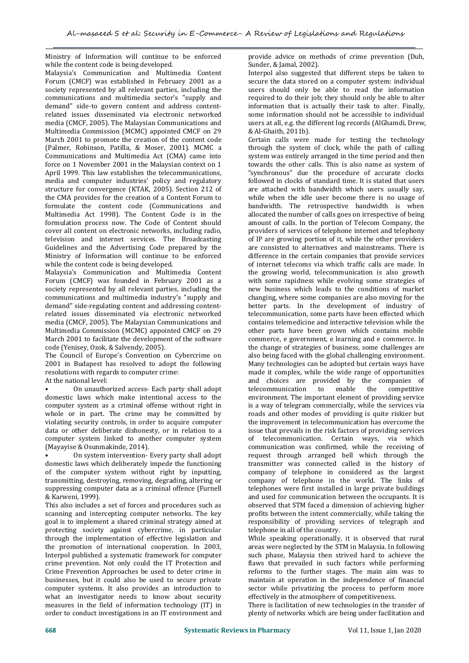Ministry of Information will continue to be enforced while the content code is being developed.

Malaysia's Communication and Multimedia Content Forum (CMCF) was established in February 2001 as a society represented by all relevant parties, including the communications and multimedia sector's "supply and demand" side-to govern content and address content related issues disseminated via electronic networked media (CMCF, 2005). The Malaysian Communications and Multimedia Commission (MCMC) appointed CMCF on 29 March 2001 to promote the creation of the content code (Palmer, Robinson, Patilla, & Moser, 2001). MCMC a Communications and Multimedia Act (CMA) came into force on 1 November 2001 in the Malaysian context on 1 April 1999. This law establishes the telecommunications, media and computer industries' policy and regulatory structure for convergence (KTAK, 2005). Section 212 of the CMA provides for the creation of a Content Forum to formulate the content code (Communications and Multimedia Act 1998). The Content Code is in the formulation process now. The Code of Content should cover all content on electronic networks, including radio, television and internet services. The Broadcasting of IP are growing portion of it, while the other providers Guidelines and the Advertising Code prepared by the are consisted to alternatives and mainstreams. There is Guidelines and the Advertising Code prepared by the Ministry of Information will continue to be enforced while the content code is being developed.

Malaysia's Communication and Multimedia Content Forum (CMCF) was founded in February 2001 as a society represented by all relevant parties, including the communications and multimedia industry's "supply and demand" side-regulating content and addressing content related issues disseminated via electronic networked media (CMCF, 2005). The Malaysian Communications and Multimedia Commission (MCMC) appointed CMCF on 29 March 2001 to facilitate the development of the software code (Yenisey, Ozok, & Salvendy, 2005).

The Council of Europe's Convention on Cybercrime on 2001 in Budapest has resolved to adopt the following resolutions with regards to computer crime:<br>At the national level:

• On unauthorized access- Each party shall adopt domestic laws which make intentional access to the computer system as a criminal offense without right in whole or in part. The crime may be committed by violating security controls, in order to acquire computer data or other deliberate dishonesty, or in relation to a liss<br>computer system linked to another computer system of computer system linked to another computer system (Mayayise & Osunmakinde, 2014).

• On system intervention- Every party shall adopt domestic laws which deliberately impede the functioning of the computer system without right by inputting, transmitting, destroying, removing, degrading, altering or suppressing computer data as a criminal offence (Furnell & Karweni, 1999).

This also includes a set of forces and procedures such as scanning and intercepting computer networks. The key goal is to implement a shared criminal strategy aimed at protecting society against cybercrime, in particular through the implementation of effective legislation and the promotion of international cooperation. In 2003, Interpol published a systematic framework for computer crime prevention. Not only could the IT Protection and Crime Prevention Approaches be used to deter crime in businesses, but it could also be used to secure private computer systems. It also provides an introduction to what an investigator needs to know about security measures in the field of information technology (IT) in order to conduct investigations in an IT environment and

provide advice on methods of crime prevention (Duh, Sunder, & Jamal, 2002).

Interpol also suggested that different steps be taken to secure the data stored on a computer system: individual users should only be able to read the information required to do their job; they should only be able to alter information that is actually their task to alter. Finally, some information should not be accessible to individual users at all, e.g. the different log records (AlGhamdi, Drew, & Al-Ghaith, 2011b).

Certain calls were made for testing the technology through the system of clock, while the path of calling system was entirely arranged in the time period and then towards the other calls.This is also name as system of "synchronous" due the procedure of accurate clocks followed in clocks of standard time. It is stated that users are attached with bandwidth which users usually say, while when the idle user become there is no usage of bandwidth. The retrospective bandwidth is when allocated the number of calls goes on irrespective of being amount of calls. In the portion of Telecom Company, the providers of services of telephone internet and telephony of IP are growing portion of it, while the other providers difference in the certain companies that provide services of internet telecoms via which traffic calls are made. In the growing world, telecommunication is also growth with some rapidness while evolving some strategies of new business which leads to the conditions of market changing, where some companies are also moving for the better parts. In the development of industry of telecommunication, some parts have been effected which contains telemedicine and interactive television while the other parts have been grown which contains mobile commerce, e government, e learning and e commerce. In the change of strategies of business, some challenges are also being faced with the global challenging environment. Many technologies can be adopted but certain ways have made it complex, while the wide range of opportunities and choices are provided by the companies of telecommunication environment. The important element of providing service is a way of telegram commercially, while the services via roads and other modes of providing is quite riskier but the improvement in telecommunication has overcome the issue that prevails in the risk factors of providing services telecommunication. Certain ways, via which communication was confirmed, while the receiving of request through arranged bell which through the transmitter was connected called in the history of company of telephone in considered as the largest company of telephone in the world. The links of telephones were first installed in large private buildings and used for communication between the occupants. It is observed that STM faced a dimension of achieving higher profits between the intent commercially, while taking the responsibility of providing services of telegraph and telephone in all of the country.

While speaking operationally, it is observed that rural areas were neglected by the STM in Malaysia. In following such phase, Malaysia then strived hard to achieve the flaws that prevailed in such factors while performing reforms to the further stages. The main aim was to maintain at operation in the independence of financial sector while privatizing the process to perform more effectively in the atmosphere of competitiveness.

There is facilitation of new technologies in the transfer of plenty of networks which are being under facilitation and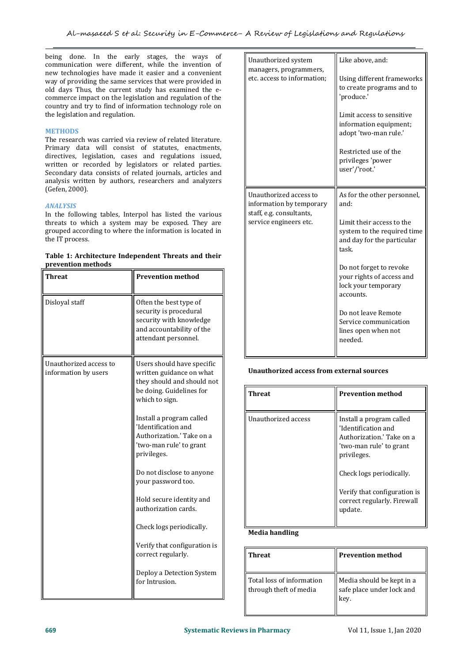being done. In the early stages, the ways of communication were different, while the invention of new technologies have made it easier and a convenient way of providing the same services that were provided in old days Thus, the current study has examined the ecommerce impact on the legislation and regulation of the country and try to find of information technology role on the legislation and regulation.

### **METHODS**

The research was carried via review of related literature. Primary data will consist of statutes, enactments, directives, legislation, cases and regulations issued, written or recorded by legislators or related parties. Secondary data consists of related journals, articles and analysis written by authors, researchers and analyzers (Gefen, 2000).

## *ANALYSIS*

In the following tables, Interpol has listed the various threats to which a system may be exposed. They are grouped according to where the information is located in the IT process.

| Table 1: Architecture Independent Threats and their |  |
|-----------------------------------------------------|--|
| prevention methods                                  |  |

| <b>Threat</b>                                  | <b>Prevention method</b>                                                                                                         |                                                     |
|------------------------------------------------|----------------------------------------------------------------------------------------------------------------------------------|-----------------------------------------------------|
| Disloyal staff                                 | Often the best type of<br>security is procedural<br>security with knowledge<br>and accountability of the<br>attendant personnel. |                                                     |
| Unauthorized access to<br>information by users | Users should have specific<br>written guidance on what<br>they should and should not                                             | <b>Unauthorized access from</b>                     |
|                                                | be doing. Guidelines for<br>which to sign.                                                                                       | <b>Threat</b>                                       |
|                                                | Install a program called<br>'Identification and<br>Authorization.' Take on a<br>'two-man rule' to grant<br>privileges.           | Unauthorized access                                 |
|                                                | Do not disclose to anyone<br>your password too.                                                                                  |                                                     |
|                                                | Hold secure identity and<br>authorization cards.                                                                                 |                                                     |
|                                                | Check logs periodically.                                                                                                         | <b>Media handling</b>                               |
|                                                | Verify that configuration is<br>correct regularly.                                                                               | <b>Threat</b>                                       |
|                                                | Deploy a Detection System<br>for Intrusion.                                                                                      | Total loss of information<br>through theft of media |

#### **Unauthorized access from external sources**

| <b>Threat</b>       | <b>Prevention method</b>                                                                                               |
|---------------------|------------------------------------------------------------------------------------------------------------------------|
| Unauthorized access | Install a program called<br>'Identification and<br>Authorization.' Take on a<br>'two-man rule' to grant<br>privileges. |
|                     | Check logs periodically.                                                                                               |
|                     | Verify that configuration is<br>correct regularly. Firewall<br>update.                                                 |

#### **Media handling**

| <b>Threat</b>                                       | <b>Prevention method</b>                                       |
|-----------------------------------------------------|----------------------------------------------------------------|
| Total loss of information<br>through theft of media | Media should be kept in a<br>safe place under lock and<br>key. |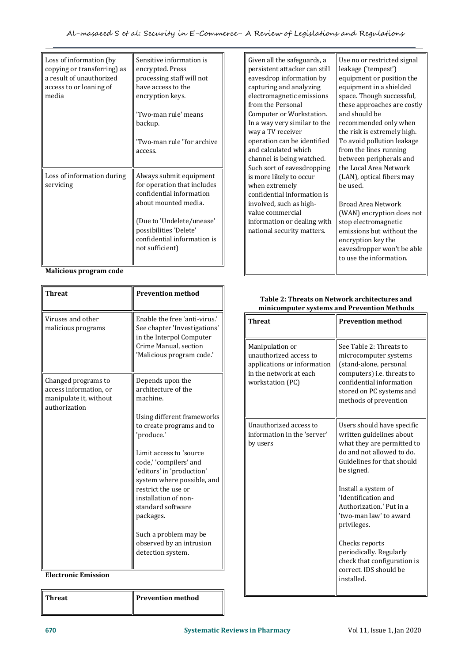| Loss of information (by<br>copying or transferring) as<br>a result of unauthorized<br>access to or loaning of<br>media | Sensitive information is<br>encrypted. Press<br>processing staff will not<br>have access to the<br>encryption keys.<br>'Two-man rule' means<br>backup.<br>'Two-man rule "for archive<br>access.                     | Given all the<br>persistent at<br>eavesdrop in<br>capturing ar<br>electromagn<br>from the Per<br>Computer of<br>In a way ver<br>way a TV re<br>operation ca<br>and calculat |
|------------------------------------------------------------------------------------------------------------------------|---------------------------------------------------------------------------------------------------------------------------------------------------------------------------------------------------------------------|-----------------------------------------------------------------------------------------------------------------------------------------------------------------------------|
| Loss of information during<br>servicing                                                                                | Always submit equipment<br>for operation that includes<br>confidential information<br>about mounted media.<br>(Due to 'Undelete/unease'<br>possibilities 'Delete'<br>confidential information is<br>not sufficient) | channel is b<br>Such sort of<br>is more likel<br>when extrer<br>confidential<br>involved, su<br>value comm<br>information<br>national sec                                   |

**Malicious program code**

| <b>Threat</b>                                                                            | <b>Prevention method</b>                                                                                                                                                                      | <b>Table 2: Threa</b><br>minicomputer                                                 |
|------------------------------------------------------------------------------------------|-----------------------------------------------------------------------------------------------------------------------------------------------------------------------------------------------|---------------------------------------------------------------------------------------|
| Viruses and other<br>malicious programs                                                  | Enable the free 'anti-virus.'<br>See chapter 'Investigations'<br>in the Interpol Computer                                                                                                     | <b>Threat</b>                                                                         |
|                                                                                          | Crime Manual, section<br>'Malicious program code.'                                                                                                                                            | Manipulation or<br>unauthorized acces<br>applications or info<br>in the network at ea |
| Changed programs to<br>access information, or<br>manipulate it, without<br>authorization | Depends upon the<br>architecture of the<br>machine.                                                                                                                                           | workstation (PC)                                                                      |
|                                                                                          | Using different frameworks<br>to create programs and to<br>'produce.'                                                                                                                         | Unauthorized acces<br>information in the '<br>by users                                |
|                                                                                          | Limit access to 'source<br>code,' 'compilers' and<br>'editors' in 'production'<br>system where possible, and<br>restrict the use or<br>installation of non-<br>standard software<br>packages. |                                                                                       |
|                                                                                          | Such a problem may be<br>observed by an intrusion<br>detection system.                                                                                                                        |                                                                                       |

**Electronic Emission**

**Threat Prevention** method

Sensitive information is  $\|\cdot\|$  Given all the safeguards, a  $\|$  Use no or restrict 'Two-man rule "for archive  $\|\hspace{0.8cm} \|$  operation can be identified  $\|$  To avoid pollution lea for operation that includes  $\parallel$  when extremely  $\parallel$  be used. confidential information confidential information is persistent attacker can still eavesdrop information by capturing and analyzing electromagnetic emissions from the Personal Computer or Workstation. In a way very similar to the way a TV receiver and calculated which channel is being watched. Such sort of eavesdropping is more likely to occur involved, such as high value commercial<br>information or dealing with information or dealing with  $\parallel$  stop electromagnetic  $\parallel$ national security matters.

Use no or restricted signal leakage ('tempest') equipment or position the equipment in a shielded space. Though successful, these approaches are costly and should be recommended only when the risk is extremely high. To avoid pollution leakage from the lines running between peripherals and the Local Area Network (LAN), optical fibers may be used.

Broad Area Network (WAN) encryption does not emissions but without the encryption key the eavesdropper won't be able to use the information.

# **Table 2: Threats on Network architectures and minicomputer systems and Prevention Methods**

| <b>Threat</b>                                                                                                          | <b>Prevention method</b>                                                                                                                                                                  |
|------------------------------------------------------------------------------------------------------------------------|-------------------------------------------------------------------------------------------------------------------------------------------------------------------------------------------|
| Manipulation or<br>unauthorized access to<br>applications or information<br>in the network at each<br>workstation (PC) | See Table 2: Threats to<br>microcomputer systems<br>(stand-alone, personal<br>computers) i.e. threats to<br>confidential information<br>stored on PC systems and<br>methods of prevention |
| Unauthorized access to<br>information in the 'server'<br>by users                                                      | Users should have specific<br>written guidelines about<br>what they are permitted to<br>do and not allowed to do.<br>Guidelines for that should<br>be signed.                             |
|                                                                                                                        | Install a system of<br>'Identification and<br>Authorization.' Put in a<br>'two-man law' to award<br>privileges.                                                                           |
|                                                                                                                        | Checks reports<br>periodically. Regularly<br>check that configuration is<br>correct. IDS should be<br>installed.                                                                          |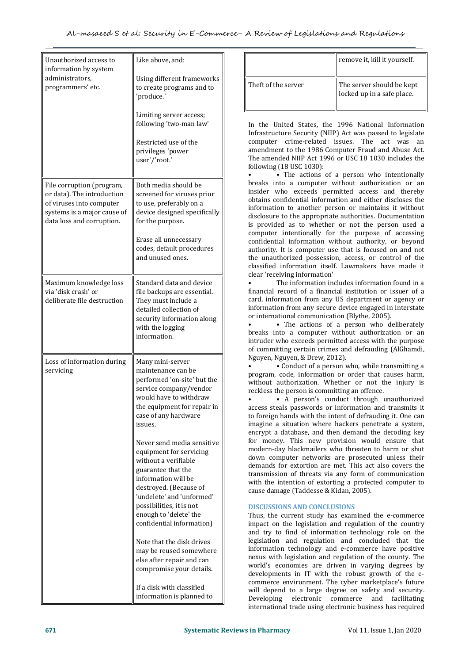| Unauthorized access to<br>information by system                                                                                                 | Like above, and:                                                                                                                                                                                                                                                                                                                                                                                                                                                                                                                                                                                                                               |                                                                                                                                                                                                                                                                                                                                                                                                                             |
|-------------------------------------------------------------------------------------------------------------------------------------------------|------------------------------------------------------------------------------------------------------------------------------------------------------------------------------------------------------------------------------------------------------------------------------------------------------------------------------------------------------------------------------------------------------------------------------------------------------------------------------------------------------------------------------------------------------------------------------------------------------------------------------------------------|-----------------------------------------------------------------------------------------------------------------------------------------------------------------------------------------------------------------------------------------------------------------------------------------------------------------------------------------------------------------------------------------------------------------------------|
| administrators,<br>programmers' etc.                                                                                                            | Using different frameworks<br>to create programs and to<br>'produce.'                                                                                                                                                                                                                                                                                                                                                                                                                                                                                                                                                                          | Theft of the                                                                                                                                                                                                                                                                                                                                                                                                                |
|                                                                                                                                                 | Limiting server access;<br>following 'two-man law'<br>Restricted use of the<br>privileges 'power<br>user'/'root.'                                                                                                                                                                                                                                                                                                                                                                                                                                                                                                                              | In the Unit<br>Infrastructu<br>computer<br>amendment<br>The amende<br>following (1                                                                                                                                                                                                                                                                                                                                          |
| File corruption (program,<br>or data). The introduction<br>of viruses into computer<br>systems is a major cause of<br>data loss and corruption. | Both media should be<br>screened for viruses prior<br>to use, preferably on a<br>device designed specifically<br>for the purpose.<br>Erase all unnecessary<br>codes, default procedures<br>and unused ones.                                                                                                                                                                                                                                                                                                                                                                                                                                    | breaks into<br>insider wh<br>obtains conf<br>information<br>disclosure to<br>is provided<br>computer i<br>confidential<br>authority. It<br>the unautho<br>classified in                                                                                                                                                                                                                                                     |
| Maximum knowledge loss<br>via 'disk crash' or<br>deliberate file destruction                                                                    | Standard data and device<br>file backups are essential.<br>They must include a<br>detailed collection of<br>security information along<br>with the logging<br>information.                                                                                                                                                                                                                                                                                                                                                                                                                                                                     | clear 'receiv<br>Th<br>financial reo<br>card, inform<br>information<br>or internatic<br>breaks into<br>intruder wh<br>of committii                                                                                                                                                                                                                                                                                          |
| Loss of information during<br>servicing                                                                                                         | Many mini-server<br>maintenance can be<br>performed 'on-site' but the<br>service company/vendor<br>would have to withdraw<br>the equipment for repair in<br>case of any hardware<br>issues.<br>Never send media sensitive<br>equipment for servicing<br>without a verifiable<br>guarantee that the<br>information will be<br>destroyed. (Because of<br>'undelete' and 'unformed'<br>possibilities, it is not<br>enough to 'delete' the<br>confidential information)<br>Note that the disk drives<br>may be reused somewhere<br>else after repair and can<br>compromise your details.<br>If a disk with classified<br>information is planned to | Nguyen, Ngu<br>• 0<br>program, co<br>without aut<br>reckless the<br>access steal:<br>to foreign ha<br>imagine a s<br>encrypt a d<br>for money.<br>modern-day<br>down comp<br>demands fo<br>transmission<br>with the int<br>cause damag<br><b>DISCUSSION</b><br>Thus, the c<br>impact on t<br>and try to<br>legislation<br>information<br>nexus with<br>world's eco<br>developmen<br>commerce e<br>will depend<br>Developing |

|                     | remove it, kill it yourself.                            |
|---------------------|---------------------------------------------------------|
| Theft of the server | The server should be kept<br>locked up in a safe place. |

following 'two-man law' In the United States, the 1996 National Information Infrastructure Security (NIIP) Act was passed to legislate computer crime-related issues. The act was an amendment to the 1986 Computer Fraud and Abuse Act. The amended NIIP Act 1996 or USC 18 1030 includes the following (18 USC 1030):

screened for viruses prior<br>to use, preferably on a discussed botains confidential information and either discloses the to use, preferably on a<br>device designed specifically information to another person or maintains it without device designed specifically disclosure to the appropriate authorities. Documentation Erase all unnecessary confidential information without authority, or beyond codes, default procedures  $\parallel$  authority. It is computer use that is focused on and not • The actions of a person who intentionally breaks into a computer without authorization or an insider who exceeds permitted access and thereby is provided as to whether or not the person used a computer intentionally for the purpose of accessing the unauthorized possession, access, or control of the classified information itself. Lawmakers have made it clear 'receiving information'

• The information includes information found in a financial record of a financial institution or issuer of a card, information from any US department or agency or information from any secure device engaged in interstate or international communication (Blythe, 2005).

• The actions of a person who deliberately breaks into a computer without authorization or an intruder who exceeds permitted access with the purpose of committing certain crimes and defrauding (AlGhamdi, Nguyen, Nguyen, & Drew, 2012).

maintenance can be<br>performed 'on-site' but the  $\parallel$  program, code, information or order that causes harm,<br>without authorization. Whether or not the injury is service company/vendor  $\parallel$  reckless the person is committing an offence. • • Conduct of a person who, while transmitting a without authorization. Whether or not the injury is

would have to withdraw • • A person's conduct through unauthorized the equipment for repair in access steals passwords or information and transmits it Never send media sensitive and the modern-day blackmailers who threaten to harm or shut<br>equipment for servicing and modern-day blackmailers who threaten to harm or shut equipment for servicing down computer networks are prosecuted unless their<br>without a verifiable down computer networks are prosecuted unless their destroyed. (Because of cause damage (Taddesse & Kidan, 2005). to foreign hands with the intent of defrauding it. One can imagine a situation where hackers penetrate a system, encrypt a database, and then demand the decoding key for money. This new provision would ensure that demands for extortion are met. This act also covers the transmission of threats via any form of communication with the intention of extorting a protected computer to

# **DISCUSSIONS AND CONCLUSIONS**

may be reused somewhere the community information technology and e-commerce have positive<br>else after repair and can<br>mexus with legislation and regulation of the county. The else after repair and can<br>compromise your details. The world's economies are driven in varying degrees by If a disk with classified will depend to a large degree on safety and security. information is planned to Developing electronic commerce and facilitating Thus, the current study has examined the e-commerce impact on the legislation and regulation of the country and try to find of information technology role on the legislation and regulation and concluded that the information technology and e-commerce have positive developments in IT with the robust growth of the e commerce environment. The cyber marketplace's future international trade using electronic business has required